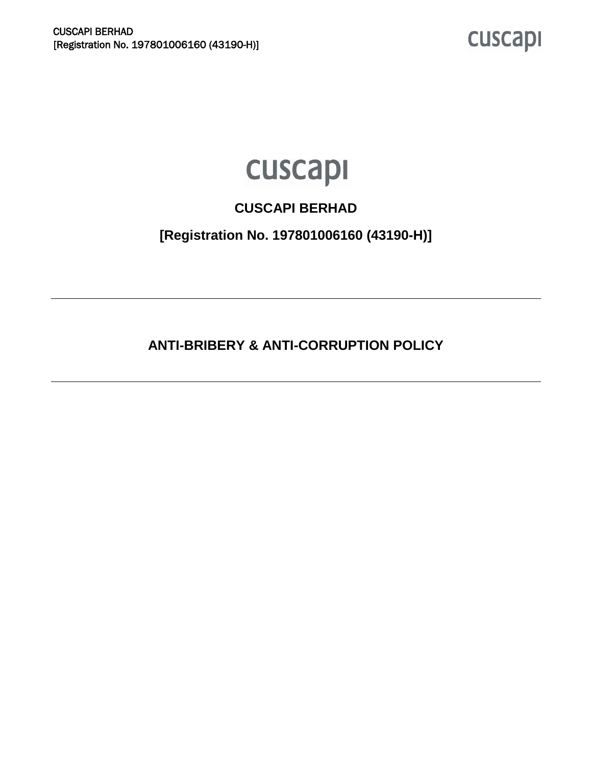cuscapi

# cuscapi

### **CUSCAPI BERHAD**

**[Registration No. 197801006160 (43190-H)]** 

**ANTI-BRIBERY & ANTI-CORRUPTION POLICY**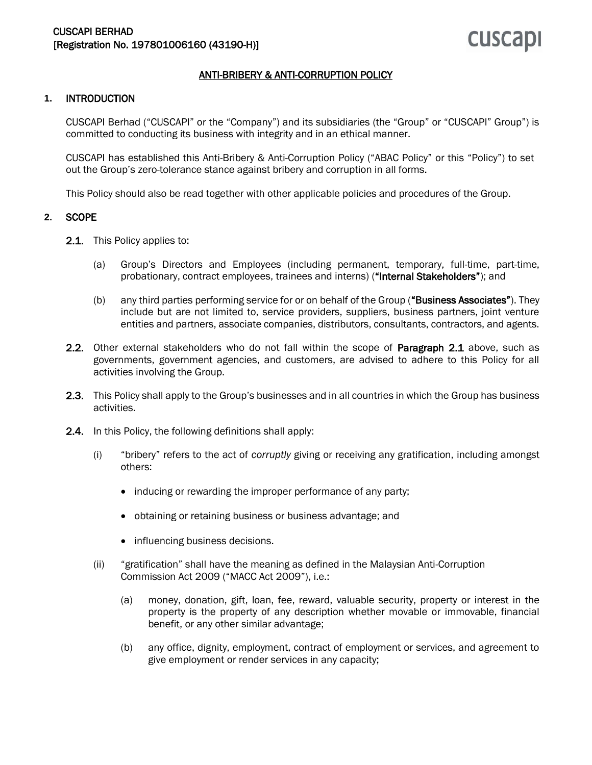#### ANTI-BRIBERY & ANTI-CORRUPTION POLICY

#### **1.** INTRODUCTION

CUSCAPI Berhad ("CUSCAPI" or the "Company") and its subsidiaries (the "Group" or "CUSCAPI" Group") is committed to conducting its business with integrity and in an ethical manner.

CUSCAPI has established this Anti-Bribery & Anti-Corruption Policy ("ABAC Policy" or this "Policy") to set out the Group's zero-tolerance stance against bribery and corruption in all forms.

This Policy should also be read together with other applicable policies and procedures of the Group.

#### **2.** SCOPE

- 2.1. This Policy applies to:
	- (a) Group's Directors and Employees (including permanent, temporary, full-time, part-time, probationary, contract employees, trainees and interns) ("Internal Stakeholders"); and
	- (b) any third parties performing service for or on behalf of the Group ("Business Associates"). They include but are not limited to, service providers, suppliers, business partners, joint venture entities and partners, associate companies, distributors, consultants, contractors, and agents.
- 2.2. Other external stakeholders who do not fall within the scope of **Paragraph 2.1** above, such as governments, government agencies, and customers, are advised to adhere to this Policy for all activities involving the Group.
- 2.3. This Policy shall apply to the Group's businesses and in all countries in which the Group has business activities.
- 2.4. In this Policy, the following definitions shall apply:
	- (i) "bribery" refers to the act of *corruptly* giving or receiving any gratification, including amongst others:
		- inducing or rewarding the improper performance of any party;
		- obtaining or retaining business or business advantage; and
		- influencing business decisions.
	- (ii) "gratification" shall have the meaning as defined in the Malaysian Anti-Corruption Commission Act 2009 ("MACC Act 2009"), i.e.:
		- (a) money, donation, gift, loan, fee, reward, valuable security, property or interest in the property is the property of any description whether movable or immovable, financial benefit, or any other similar advantage;
		- (b) any office, dignity, employment, contract of employment or services, and agreement to give employment or render services in any capacity;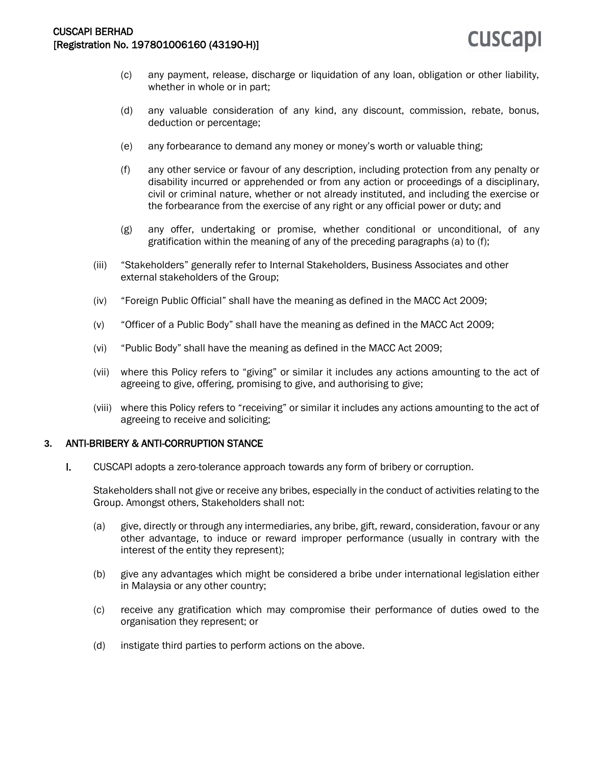- (c) any payment, release, discharge or liquidation of any loan, obligation or other liability, whether in whole or in part;
- (d) any valuable consideration of any kind, any discount, commission, rebate, bonus, deduction or percentage;
- (e) any forbearance to demand any money or money's worth or valuable thing;
- (f) any other service or favour of any description, including protection from any penalty or disability incurred or apprehended or from any action or proceedings of a disciplinary, civil or criminal nature, whether or not already instituted, and including the exercise or the forbearance from the exercise of any right or any official power or duty; and
- (g) any offer, undertaking or promise, whether conditional or unconditional, of any gratification within the meaning of any of the preceding paragraphs (a) to (f);
- (iii) "Stakeholders" generally refer to Internal Stakeholders, Business Associates and other external stakeholders of the Group;
- (iv) "Foreign Public Official" shall have the meaning as defined in the MACC Act 2009;
- (v) "Officer of a Public Body" shall have the meaning as defined in the MACC Act 2009;
- (vi) "Public Body" shall have the meaning as defined in the MACC Act 2009;
- (vii) where this Policy refers to "giving" or similar it includes any actions amounting to the act of agreeing to give, offering, promising to give, and authorising to give;
- (viii) where this Policy refers to "receiving" or similar it includes any actions amounting to the act of agreeing to receive and soliciting;

#### **3.** ANTI-BRIBERY & ANTI-CORRUPTION STANCE

I. CUSCAPI adopts a zero-tolerance approach towards any form of bribery or corruption.

Stakeholders shall not give or receive any bribes, especially in the conduct of activities relating to the Group. Amongst others, Stakeholders shall not:

- (a) give, directly or through any intermediaries, any bribe, gift, reward, consideration, favour or any other advantage, to induce or reward improper performance (usually in contrary with the interest of the entity they represent);
- (b) give any advantages which might be considered a bribe under international legislation either in Malaysia or any other country;
- (c) receive any gratification which may compromise their performance of duties owed to the organisation they represent; or
- (d) instigate third parties to perform actions on the above.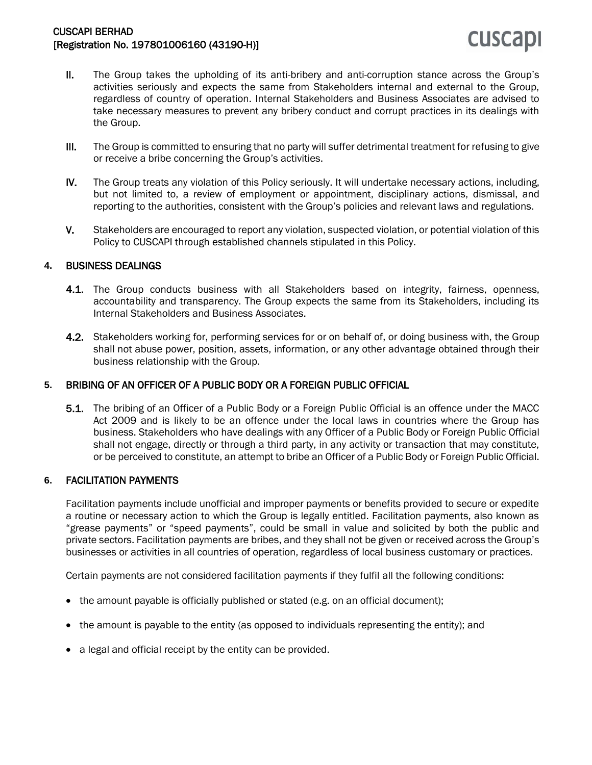## **CUSCAPI**

- II. The Group takes the upholding of its anti-bribery and anti-corruption stance across the Group's activities seriously and expects the same from Stakeholders internal and external to the Group, regardless of country of operation. Internal Stakeholders and Business Associates are advised to take necessary measures to prevent any bribery conduct and corrupt practices in its dealings with the Group.
- III. The Group is committed to ensuring that no party will suffer detrimental treatment for refusing to give or receive a bribe concerning the Group's activities.
- IV. The Group treats any violation of this Policy seriously. It will undertake necessary actions, including, but not limited to, a review of employment or appointment, disciplinary actions, dismissal, and reporting to the authorities, consistent with the Group's policies and relevant laws and regulations.
- V. Stakeholders are encouraged to report any violation, suspected violation, or potential violation of this Policy to CUSCAPI through established channels stipulated in this Policy.

#### **4.** BUSINESS DEALINGS

- 4.1. The Group conducts business with all Stakeholders based on integrity, fairness, openness, accountability and transparency. The Group expects the same from its Stakeholders, including its Internal Stakeholders and Business Associates.
- 4.2. Stakeholders working for, performing services for or on behalf of, or doing business with, the Group shall not abuse power, position, assets, information, or any other advantage obtained through their business relationship with the Group.

#### **5.** BRIBING OF AN OFFICER OF A PUBLIC BODY OR A FOREIGN PUBLIC OFFICIAL

5.1. The bribing of an Officer of a Public Body or a Foreign Public Official is an offence under the MACC Act 2009 and is likely to be an offence under the local laws in countries where the Group has business. Stakeholders who have dealings with any Officer of a Public Body or Foreign Public Official shall not engage, directly or through a third party, in any activity or transaction that may constitute, or be perceived to constitute, an attempt to bribe an Officer of a Public Body or Foreign Public Official.

#### **6.** FACILITATION PAYMENTS

Facilitation payments include unofficial and improper payments or benefits provided to secure or expedite a routine or necessary action to which the Group is legally entitled. Facilitation payments, also known as "grease payments" or "speed payments", could be small in value and solicited by both the public and private sectors. Facilitation payments are bribes, and they shall not be given or received across the Group's businesses or activities in all countries of operation, regardless of local business customary or practices.

Certain payments are not considered facilitation payments if they fulfil all the following conditions:

- the amount payable is officially published or stated (e.g. on an official document);
- the amount is payable to the entity (as opposed to individuals representing the entity); and
- a legal and official receipt by the entity can be provided.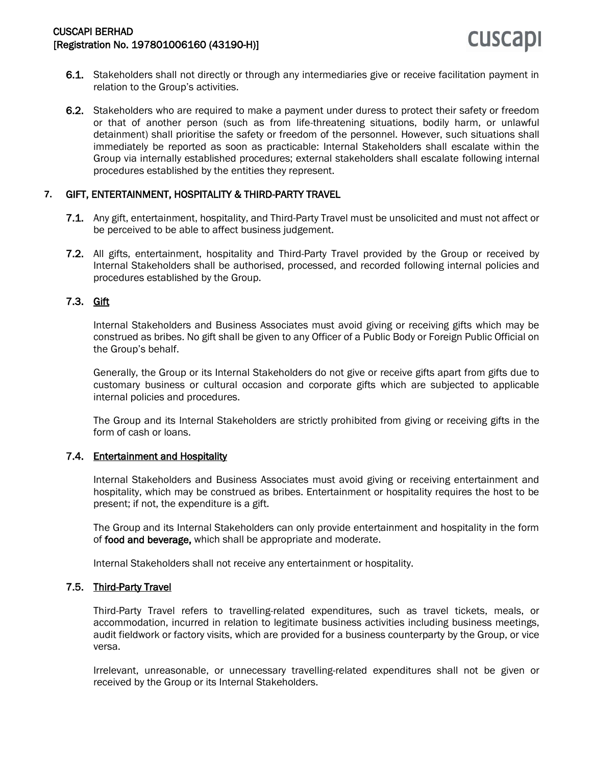- 6.1. Stakeholders shall not directly or through any intermediaries give or receive facilitation payment in relation to the Group's activities.
- 6.2. Stakeholders who are required to make a payment under duress to protect their safety or freedom or that of another person (such as from life-threatening situations, bodily harm, or unlawful detainment) shall prioritise the safety or freedom of the personnel. However, such situations shall immediately be reported as soon as practicable: Internal Stakeholders shall escalate within the Group via internally established procedures; external stakeholders shall escalate following internal procedures established by the entities they represent.

#### **7.** GIFT, ENTERTAINMENT, HOSPITALITY & THIRD-PARTY TRAVEL

- 7.1. Any gift, entertainment, hospitality, and Third-Party Travel must be unsolicited and must not affect or be perceived to be able to affect business judgement.
- 7.2. All gifts, entertainment, hospitality and Third-Party Travel provided by the Group or received by Internal Stakeholders shall be authorised, processed, and recorded following internal policies and procedures established by the Group.

#### 7.3. Gift

Internal Stakeholders and Business Associates must avoid giving or receiving gifts which may be construed as bribes. No gift shall be given to any Officer of a Public Body or Foreign Public Official on the Group's behalf.

Generally, the Group or its Internal Stakeholders do not give or receive gifts apart from gifts due to customary business or cultural occasion and corporate gifts which are subjected to applicable internal policies and procedures.

The Group and its Internal Stakeholders are strictly prohibited from giving or receiving gifts in the form of cash or loans.

#### 7.4. Entertainment and Hospitality

Internal Stakeholders and Business Associates must avoid giving or receiving entertainment and hospitality, which may be construed as bribes. Entertainment or hospitality requires the host to be present; if not, the expenditure is a gift.

The Group and its Internal Stakeholders can only provide entertainment and hospitality in the form of food and beverage, which shall be appropriate and moderate.

Internal Stakeholders shall not receive any entertainment or hospitality.

#### 7.5. Third-Party Travel

Third-Party Travel refers to travelling-related expenditures, such as travel tickets, meals, or accommodation, incurred in relation to legitimate business activities including business meetings, audit fieldwork or factory visits, which are provided for a business counterparty by the Group, or vice versa.

Irrelevant, unreasonable, or unnecessary travelling-related expenditures shall not be given or received by the Group or its Internal Stakeholders.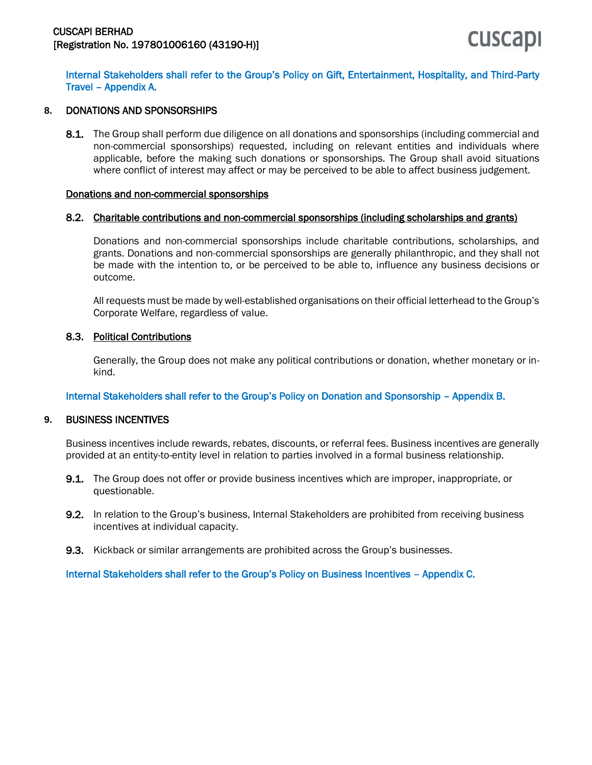Internal Stakeholders shall refer to the Group's Policy on Gift, Entertainment, Hospitality, and Third-Party Travel – Appendix A.

#### **8.** DONATIONS AND SPONSORSHIPS

8.1. The Group shall perform due diligence on all donations and sponsorships (including commercial and non-commercial sponsorships) requested, including on relevant entities and individuals where applicable, before the making such donations or sponsorships. The Group shall avoid situations where conflict of interest may affect or may be perceived to be able to affect business judgement.

#### Donations and non-commercial sponsorships

#### 8.2. Charitable contributions and non-commercial sponsorships (including scholarships and grants)

Donations and non-commercial sponsorships include charitable contributions, scholarships, and grants. Donations and non-commercial sponsorships are generally philanthropic, and they shall not be made with the intention to, or be perceived to be able to, influence any business decisions or outcome.

All requests must be made by well-established organisations on their official letterhead to the Group's Corporate Welfare, regardless of value.

#### 8.3. Political Contributions

Generally, the Group does not make any political contributions or donation, whether monetary or inkind.

#### Internal Stakeholders shall refer to the Group's Policy on Donation and Sponsorship – Appendix B.

#### **9.** BUSINESS INCENTIVES

Business incentives include rewards, rebates, discounts, or referral fees. Business incentives are generally provided at an entity-to-entity level in relation to parties involved in a formal business relationship.

- **9.1.** The Group does not offer or provide business incentives which are improper, inappropriate, or questionable.
- 9.2. In relation to the Group's business, Internal Stakeholders are prohibited from receiving business incentives at individual capacity.
- 9.3. Kickback or similar arrangements are prohibited across the Group's businesses.

Internal Stakeholders shall refer to the Group's Policy on Business Incentives – Appendix C.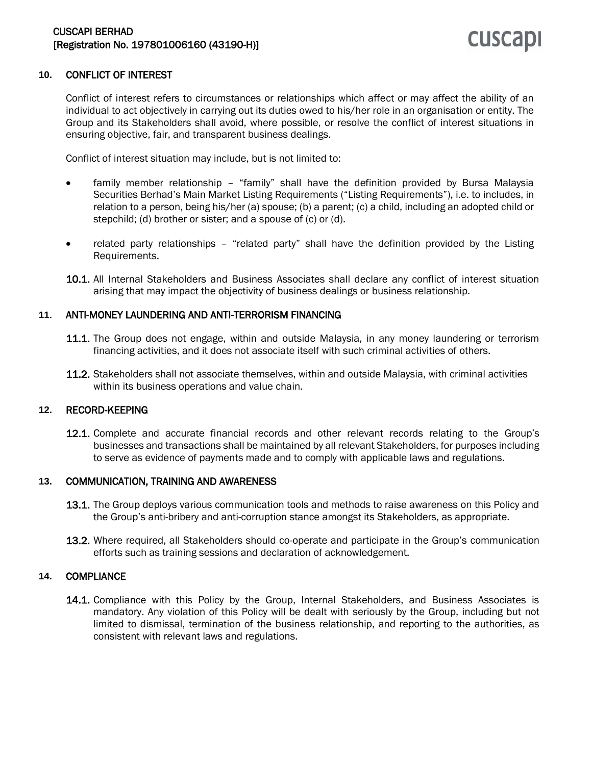#### **10.** CONFLICT OF INTEREST

Conflict of interest refers to circumstances or relationships which affect or may affect the ability of an individual to act objectively in carrying out its duties owed to his/her role in an organisation or entity. The Group and its Stakeholders shall avoid, where possible, or resolve the conflict of interest situations in ensuring objective, fair, and transparent business dealings.

Conflict of interest situation may include, but is not limited to:

- family member relationship "family" shall have the definition provided by Bursa Malaysia Securities Berhad's Main Market Listing Requirements ("Listing Requirements"), i.e. to includes, in relation to a person, being his/her (a) spouse; (b) a parent; (c) a child, including an adopted child or stepchild; (d) brother or sister; and a spouse of (c) or (d).
- related party relationships "related party" shall have the definition provided by the Listing Requirements.
- 10.1. All Internal Stakeholders and Business Associates shall declare any conflict of interest situation arising that may impact the objectivity of business dealings or business relationship.

#### **11.** ANTI-MONEY LAUNDERING AND ANTI-TERRORISM FINANCING

- 11.1. The Group does not engage, within and outside Malaysia, in any money laundering or terrorism financing activities, and it does not associate itself with such criminal activities of others.
- 11.2. Stakeholders shall not associate themselves, within and outside Malaysia, with criminal activities within its business operations and value chain.

#### **12.** RECORD-KEEPING

12.1. Complete and accurate financial records and other relevant records relating to the Group's businesses and transactions shall be maintained by all relevant Stakeholders, for purposes including to serve as evidence of payments made and to comply with applicable laws and regulations.

#### **13.** COMMUNICATION, TRAINING AND AWARENESS

- 13.1. The Group deploys various communication tools and methods to raise awareness on this Policy and the Group's anti-bribery and anti-corruption stance amongst its Stakeholders, as appropriate.
- 13.2. Where required, all Stakeholders should co-operate and participate in the Group's communication efforts such as training sessions and declaration of acknowledgement.

#### **14.** COMPLIANCE

14.1. Compliance with this Policy by the Group, Internal Stakeholders, and Business Associates is mandatory. Any violation of this Policy will be dealt with seriously by the Group, including but not limited to dismissal, termination of the business relationship, and reporting to the authorities, as consistent with relevant laws and regulations.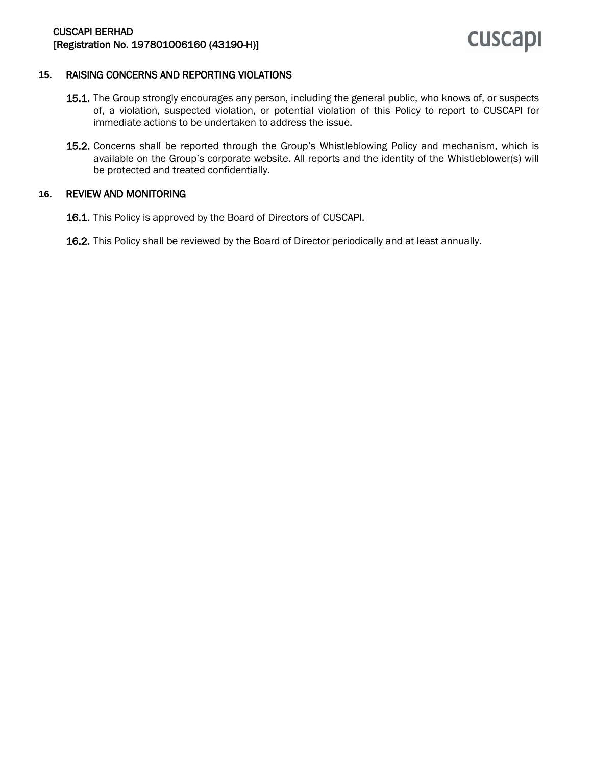

#### **15.** RAISING CONCERNS AND REPORTING VIOLATIONS

- 15.1. The Group strongly encourages any person, including the general public, who knows of, or suspects of, a violation, suspected violation, or potential violation of this Policy to report to CUSCAPI for immediate actions to be undertaken to address the issue.
- 15.2. Concerns shall be reported through the Group's Whistleblowing Policy and mechanism, which is available on the Group's corporate website. All reports and the identity of the Whistleblower(s) will be protected and treated confidentially.

#### **16.** REVIEW AND MONITORING

- 16.1. This Policy is approved by the Board of Directors of CUSCAPI.
- 16.2. This Policy shall be reviewed by the Board of Director periodically and at least annually.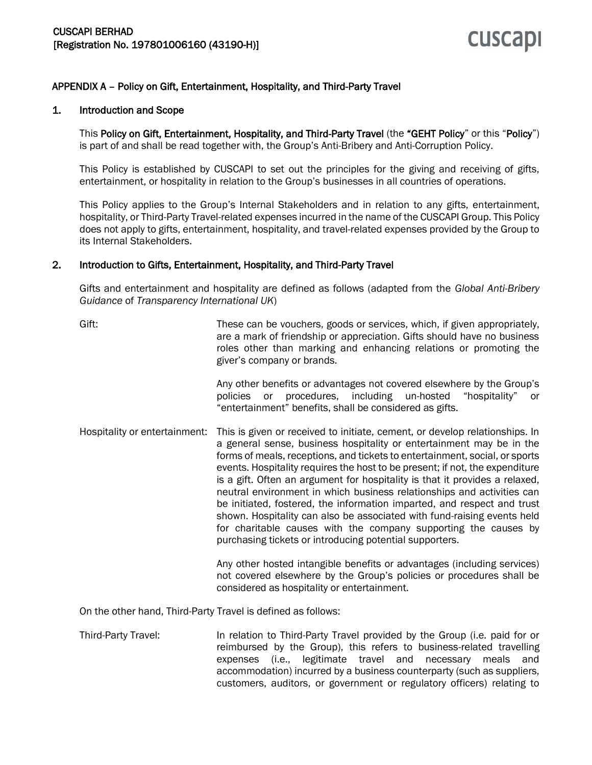#### APPENDIX A – Policy on Gift, Entertainment, Hospitality, and Third-Party Travel

#### 1. Introduction and Scope

This Policy on Gift, Entertainment, Hospitality, and Third-Party Travel (the "GEHT Policy" or this "Policy") is part of and shall be read together with, the Group's Anti-Bribery and Anti-Corruption Policy.

This Policy is established by CUSCAPI to set out the principles for the giving and receiving of gifts, entertainment, or hospitality in relation to the Group's businesses in all countries of operations.

This Policy applies to the Group's Internal Stakeholders and in relation to any gifts, entertainment, hospitality, or Third-Party Travel-related expenses incurred in the name of the CUSCAPI Group. This Policy does not apply to gifts, entertainment, hospitality, and travel-related expenses provided by the Group to its Internal Stakeholders.

#### 2. Introduction to Gifts, Entertainment, Hospitality, and Third-Party Travel

Gifts and entertainment and hospitality are defined as follows (adapted from the *Global Anti-Bribery Guidance* of *Transparency International UK*)

| Gift:                         | These can be vouchers, goods or services, which, if given appropriately,<br>are a mark of friendship or appreciation. Gifts should have no business<br>roles other than marking and enhancing relations or promoting the<br>giver's company or brands.                                                                                                                                                                                                                                                                                                                                                                                                                                                                                                          |
|-------------------------------|-----------------------------------------------------------------------------------------------------------------------------------------------------------------------------------------------------------------------------------------------------------------------------------------------------------------------------------------------------------------------------------------------------------------------------------------------------------------------------------------------------------------------------------------------------------------------------------------------------------------------------------------------------------------------------------------------------------------------------------------------------------------|
|                               | Any other benefits or advantages not covered elsewhere by the Group's<br>procedures, including un-hosted<br>policies or<br>"hospitality"<br>or<br>"entertainment" benefits, shall be considered as gifts.                                                                                                                                                                                                                                                                                                                                                                                                                                                                                                                                                       |
| Hospitality or entertainment: | This is given or received to initiate, cement, or develop relationships. In<br>a general sense, business hospitality or entertainment may be in the<br>forms of meals, receptions, and tickets to entertainment, social, or sports<br>events. Hospitality requires the host to be present; if not, the expenditure<br>is a gift. Often an argument for hospitality is that it provides a relaxed,<br>neutral environment in which business relationships and activities can<br>be initiated, fostered, the information imparted, and respect and trust<br>shown. Hospitality can also be associated with fund-raising events held<br>for charitable causes with the company supporting the causes by<br>purchasing tickets or introducing potential supporters. |
|                               | Any other hosted intangible benefits or advantages (including services)<br>not covered elsewhere by the Group's policies or procedures shall be<br>considered as hospitality or entertainment.                                                                                                                                                                                                                                                                                                                                                                                                                                                                                                                                                                  |

On the other hand, Third-Party Travel is defined as follows:

Third-Party Travel: In relation to Third-Party Travel provided by the Group (i.e. paid for or reimbursed by the Group), this refers to business-related travelling expenses (i.e., legitimate travel and necessary meals and accommodation) incurred by a business counterparty (such as suppliers, customers, auditors, or government or regulatory officers) relating to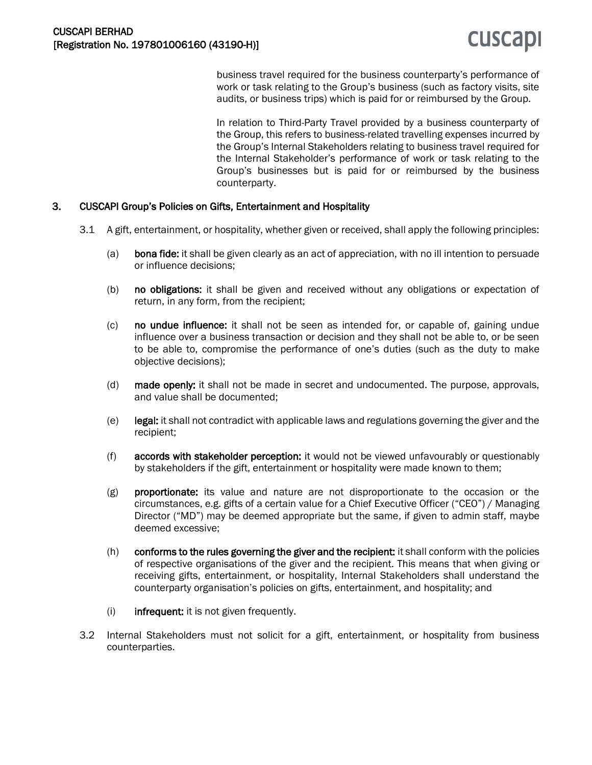business travel required for the business counterparty's performance of work or task relating to the Group's business (such as factory visits, site audits, or business trips) which is paid for or reimbursed by the Group.

In relation to Third-Party Travel provided by a business counterparty of the Group, this refers to business-related travelling expenses incurred by the Group's Internal Stakeholders relating to business travel required for the Internal Stakeholder's performance of work or task relating to the Group's businesses but is paid for or reimbursed by the business counterparty.

#### 3. CUSCAPI Group's Policies on Gifts, Entertainment and Hospitality

- 3.1 A gift, entertainment, or hospitality, whether given or received, shall apply the following principles:
	- (a) bona fide: it shall be given clearly as an act of appreciation, with no ill intention to persuade or influence decisions;
	- (b) no obligations: it shall be given and received without any obligations or expectation of return, in any form, from the recipient;
	- (c) no undue influence: it shall not be seen as intended for, or capable of, gaining undue influence over a business transaction or decision and they shall not be able to, or be seen to be able to, compromise the performance of one's duties (such as the duty to make objective decisions);
	- (d) made openly: it shall not be made in secret and undocumented. The purpose, approvals, and value shall be documented;
	- $(e)$  legal: it shall not contradict with applicable laws and regulations governing the giver and the recipient;
	- (f) accords with stakeholder perception: it would not be viewed unfavourably or questionably by stakeholders if the gift, entertainment or hospitality were made known to them;
	- (g) proportionate: its value and nature are not disproportionate to the occasion or the circumstances, e.g. gifts of a certain value for a Chief Executive Officer ("CEO") / Managing Director ("MD") may be deemed appropriate but the same, if given to admin staff, maybe deemed excessive;
	- (h) conforms to the rules governing the giver and the recipient: it shall conform with the policies of respective organisations of the giver and the recipient. This means that when giving or receiving gifts, entertainment, or hospitality, Internal Stakeholders shall understand the counterparty organisation's policies on gifts, entertainment, and hospitality; and
	- $(i)$  infrequent: it is not given frequently.
- 3.2 Internal Stakeholders must not solicit for a gift, entertainment, or hospitality from business counterparties.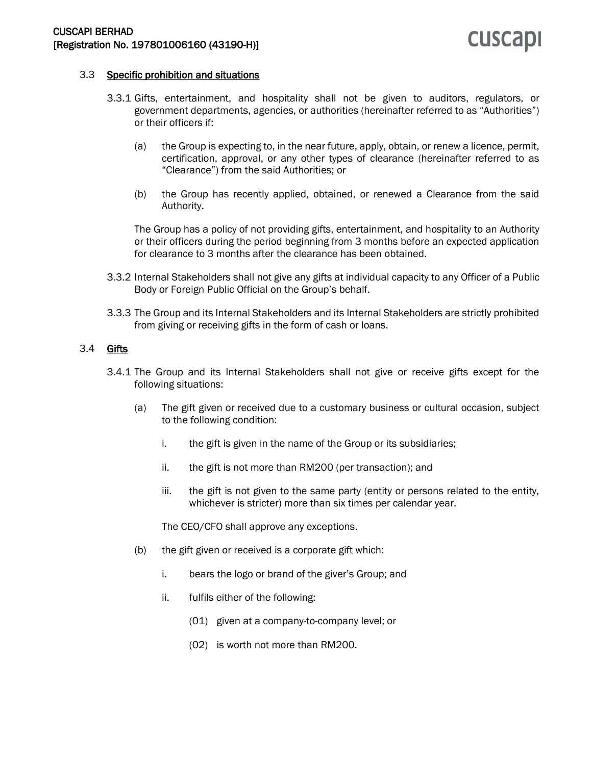### **CUSCAPI**

#### 3.3 Specific prohibition and situations

- 3.3.1 Gifts, entertainment, and hospitality shall not be given to auditors, regulators, or government departments, agencies, or authorities (hereinafter referred to as "Authorities") or their officers if:
	- (a) the Group is expecting to, in the near future, apply, obtain, or renew a licence, permit, certification, approval, or any other types of clearance (hereinafter referred to as "Clearance") from the said Authorities; or
	- (b) the Group has recently applied, obtained, or renewed a Clearance from the said Authority.

The Group has a policy of not providing gifts, entertainment, and hospitality to an Authority or their officers during the period beginning from 3 months before an expected application for clearance to 3 months after the clearance has been obtained.

- 3.3.2 Internal Stakeholders shall not give any gifts at individual capacity to any Officer of a Public Body or Foreign Public Official on the Group's behalf.
- 3.3.3 The Group and its Internal Stakeholders and its Internal Stakeholders are strictly prohibited from giving or receiving gifts in the form of cash or loans.

#### 3.4 Gifts

- 3.4.1 The Group and its Internal Stakeholders shall not give or receive gifts except for the following situations:
	- (a) The gift given or received due to a customary business or cultural occasion, subject to the following condition:
		- i. the gift is given in the name of the Group or its subsidiaries;
		- ii. the gift is not more than RM200 (per transaction); and
		- iii. the gift is not given to the same party (entity or persons related to the entity, whichever is stricter) more than six times per calendar year.

The CEO/CFO shall approve any exceptions.

- (b) the gift given or received is a corporate gift which:
	- i. bears the logo or brand of the giver's Group; and
	- ii. fulfils either of the following:
		- (01) given at a company-to-company level; or
		- (02) is worth not more than RM200.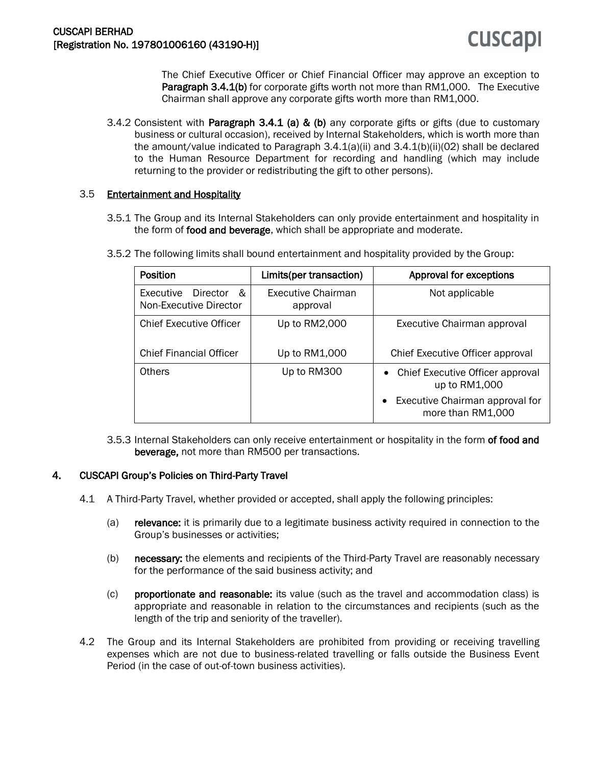The Chief Executive Officer or Chief Financial Officer may approve an exception to **Paragraph 3.4.1(b)** for corporate gifts worth not more than RM1,000. The Executive Chairman shall approve any corporate gifts worth more than RM1,000.

3.4.2 Consistent with **Paragraph 3.4.1 (a) & (b)** any corporate gifts or gifts (due to customary business or cultural occasion), received by Internal Stakeholders, which is worth more than the amount/value indicated to Paragraph  $3.4.1(a)(ii)$  and  $3.4.1(b)(ii)(02)$  shall be declared to the Human Resource Department for recording and handling (which may include returning to the provider or redistributing the gift to other persons).

#### 3.5 Entertainment and Hospitality

3.5.1 The Group and its Internal Stakeholders can only provide entertainment and hospitality in the form of food and beverage, which shall be appropriate and moderate.

| <b>Line and and</b> | $\sim$ 1.3 and the absolution of the contract of $\sim$ 1.1 | . A second second formal properties of the second second second second second second second second second second second second second second second second second second second second second second second second second sec |
|---------------------|-------------------------------------------------------------|-------------------------------------------------------------------------------------------------------------------------------------------------------------------------------------------------------------------------------|
|                     |                                                             | 3.5.2 The following limits shall bound entertainment and hospitality provided by the Group:                                                                                                                                   |

| <b>Position</b>                                      | Limits(per transaction)        | Approval for exceptions                                           |
|------------------------------------------------------|--------------------------------|-------------------------------------------------------------------|
| Executive<br>Director<br>&<br>Non-Executive Director | Executive Chairman<br>approval | Not applicable                                                    |
| <b>Chief Executive Officer</b>                       | Up to RM2,000                  | Executive Chairman approval                                       |
| <b>Chief Financial Officer</b>                       | Up to RM1,000                  | Chief Executive Officer approval                                  |
| Others                                               | Up to RM300                    | Chief Executive Officer approval<br>$\bullet$<br>up to RM1,000    |
|                                                      |                                | Executive Chairman approval for<br>$\bullet$<br>more than RM1,000 |

3.5.3 Internal Stakeholders can only receive entertainment or hospitality in the form of food and beverage, not more than RM500 per transactions.

#### 4. CUSCAPI Group's Policies on Third-Party Travel

- 4.1 A Third-Party Travel, whether provided or accepted, shall apply the following principles:
	- (a) relevance: it is primarily due to a legitimate business activity required in connection to the Group's businesses or activities;
	- (b) necessary: the elements and recipients of the Third-Party Travel are reasonably necessary for the performance of the said business activity; and
	- (c) proportionate and reasonable: its value (such as the travel and accommodation class) is appropriate and reasonable in relation to the circumstances and recipients (such as the length of the trip and seniority of the traveller).
- 4.2 The Group and its Internal Stakeholders are prohibited from providing or receiving travelling expenses which are not due to business-related travelling or falls outside the Business Event Period (in the case of out-of-town business activities).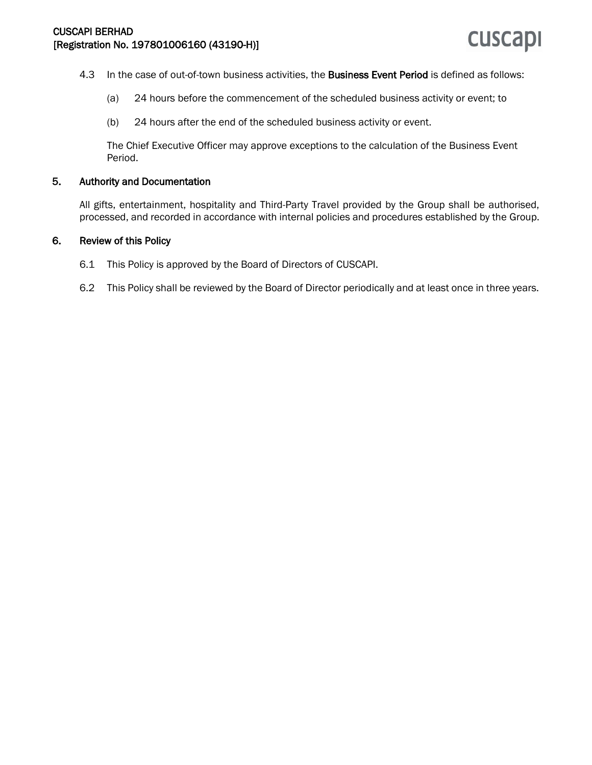- 4.3 In the case of out-of-town business activities, the Business Event Period is defined as follows:
	- (a) 24 hours before the commencement of the scheduled business activity or event; to
	- (b) 24 hours after the end of the scheduled business activity or event.

The Chief Executive Officer may approve exceptions to the calculation of the Business Event Period.

#### 5. Authority and Documentation

All gifts, entertainment, hospitality and Third-Party Travel provided by the Group shall be authorised, processed, and recorded in accordance with internal policies and procedures established by the Group.

#### 6. Review of this Policy

- 6.1 This Policy is approved by the Board of Directors of CUSCAPI.
- 6.2 This Policy shall be reviewed by the Board of Director periodically and at least once in three years.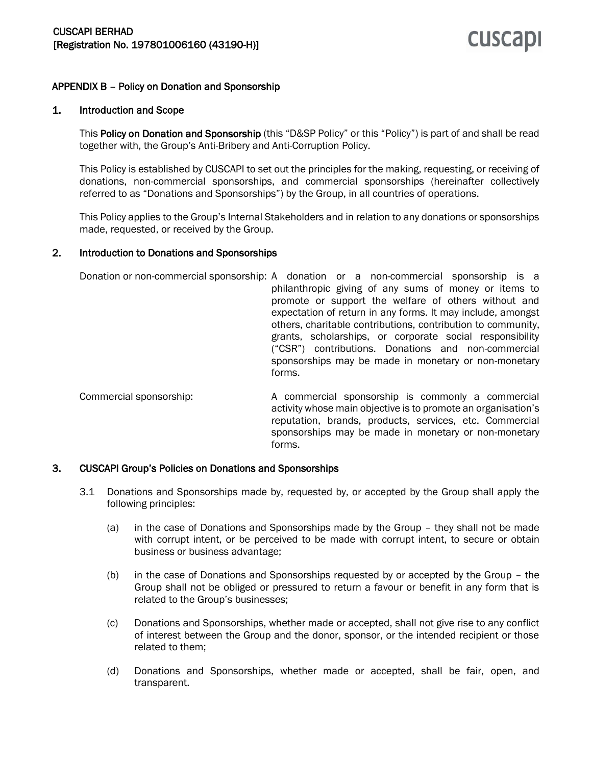#### APPENDIX B – Policy on Donation and Sponsorship

#### 1. Introduction and Scope

This Policy on Donation and Sponsorship (this "D&SP Policy" or this "Policy") is part of and shall be read together with, the Group's Anti-Bribery and Anti-Corruption Policy.

This Policy is established by CUSCAPI to set out the principles for the making, requesting, or receiving of donations, non-commercial sponsorships, and commercial sponsorships (hereinafter collectively referred to as "Donations and Sponsorships") by the Group, in all countries of operations.

This Policy applies to the Group's Internal Stakeholders and in relation to any donations or sponsorships made, requested, or received by the Group.

#### 2. Introduction to Donations and Sponsorships

Donation or non-commercial sponsorship: A donation or a non-commercial sponsorship is a philanthropic giving of any sums of money or items to promote or support the welfare of others without and expectation of return in any forms. It may include, amongst others, charitable contributions, contribution to community, grants, scholarships, or corporate social responsibility ("CSR") contributions. Donations and non-commercial sponsorships may be made in monetary or non-monetary forms.

Commercial sponsorship: A commercial sponsorship is commonly a commercial activity whose main objective is to promote an organisation's reputation, brands, products, services, etc. Commercial sponsorships may be made in monetary or non-monetary forms.

#### 3. CUSCAPI Group's Policies on Donations and Sponsorships

- 3.1 Donations and Sponsorships made by, requested by, or accepted by the Group shall apply the following principles:
	- (a) in the case of Donations and Sponsorships made by the Group they shall not be made with corrupt intent, or be perceived to be made with corrupt intent, to secure or obtain business or business advantage;
	- (b) in the case of Donations and Sponsorships requested by or accepted by the Group the Group shall not be obliged or pressured to return a favour or benefit in any form that is related to the Group's businesses;
	- (c) Donations and Sponsorships, whether made or accepted, shall not give rise to any conflict of interest between the Group and the donor, sponsor, or the intended recipient or those related to them;
	- (d) Donations and Sponsorships, whether made or accepted, shall be fair, open, and transparent.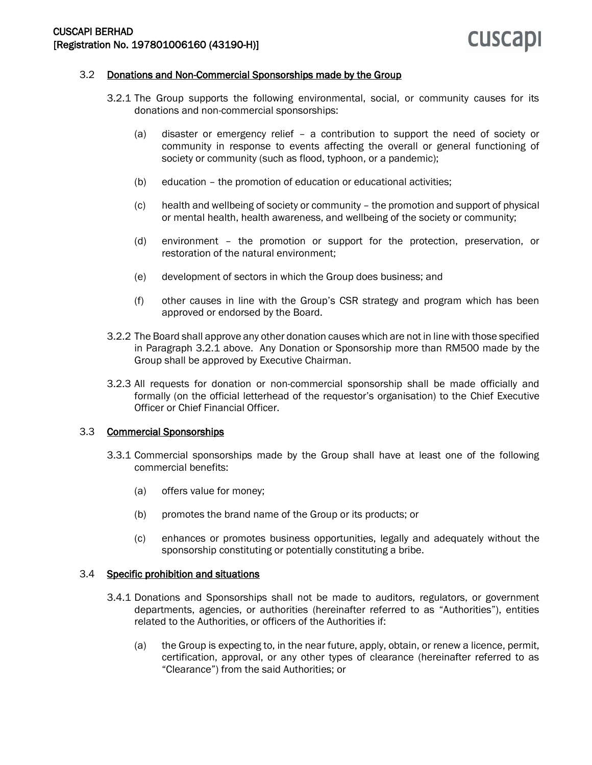#### 3.2 Donations and Non-Commercial Sponsorships made by the Group

- 3.2.1 The Group supports the following environmental, social, or community causes for its donations and non-commercial sponsorships:
	- (a) disaster or emergency relief a contribution to support the need of society or community in response to events affecting the overall or general functioning of society or community (such as flood, typhoon, or a pandemic);
	- (b) education the promotion of education or educational activities;
	- (c) health and wellbeing of society or community the promotion and support of physical or mental health, health awareness, and wellbeing of the society or community;
	- (d) environment the promotion or support for the protection, preservation, or restoration of the natural environment;
	- (e) development of sectors in which the Group does business; and
	- (f) other causes in line with the Group's CSR strategy and program which has been approved or endorsed by the Board.
- 3.2.2 The Board shall approve any other donation causes which are not in line with those specified in Paragraph 3.2.1 above. Any Donation or Sponsorship more than RM500 made by the Group shall be approved by Executive Chairman.
- 3.2.3 All requests for donation or non-commercial sponsorship shall be made officially and formally (on the official letterhead of the requestor's organisation) to the Chief Executive Officer or Chief Financial Officer.

#### 3.3 Commercial Sponsorships

- 3.3.1 Commercial sponsorships made by the Group shall have at least one of the following commercial benefits:
	- (a) offers value for money;
	- (b) promotes the brand name of the Group or its products; or
	- (c) enhances or promotes business opportunities, legally and adequately without the sponsorship constituting or potentially constituting a bribe.

#### 3.4 Specific prohibition and situations

- 3.4.1 Donations and Sponsorships shall not be made to auditors, regulators, or government departments, agencies, or authorities (hereinafter referred to as "Authorities"), entities related to the Authorities, or officers of the Authorities if:
	- (a) the Group is expecting to, in the near future, apply, obtain, or renew a licence, permit, certification, approval, or any other types of clearance (hereinafter referred to as "Clearance") from the said Authorities; or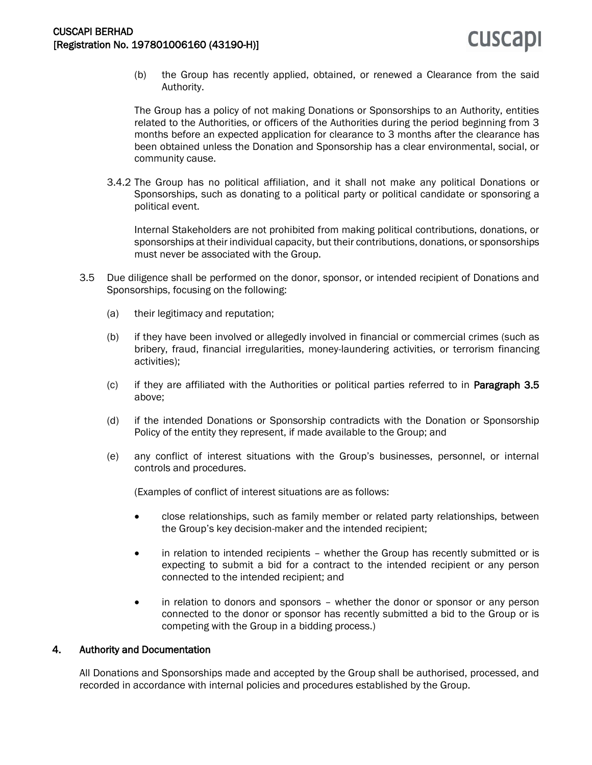(b) the Group has recently applied, obtained, or renewed a Clearance from the said Authority.

The Group has a policy of not making Donations or Sponsorships to an Authority, entities related to the Authorities, or officers of the Authorities during the period beginning from 3 months before an expected application for clearance to 3 months after the clearance has been obtained unless the Donation and Sponsorship has a clear environmental, social, or community cause.

3.4.2 The Group has no political affiliation, and it shall not make any political Donations or Sponsorships, such as donating to a political party or political candidate or sponsoring a political event.

Internal Stakeholders are not prohibited from making political contributions, donations, or sponsorships at their individual capacity, but their contributions, donations, or sponsorships must never be associated with the Group.

- 3.5 Due diligence shall be performed on the donor, sponsor, or intended recipient of Donations and Sponsorships, focusing on the following:
	- (a) their legitimacy and reputation;
	- (b) if they have been involved or allegedly involved in financial or commercial crimes (such as bribery, fraud, financial irregularities, money-laundering activities, or terrorism financing activities);
	- (c) if they are affiliated with the Authorities or political parties referred to in Paragraph 3.5 above;
	- (d) if the intended Donations or Sponsorship contradicts with the Donation or Sponsorship Policy of the entity they represent, if made available to the Group; and
	- (e) any conflict of interest situations with the Group's businesses, personnel, or internal controls and procedures.

(Examples of conflict of interest situations are as follows:

- close relationships, such as family member or related party relationships, between the Group's key decision-maker and the intended recipient;
- in relation to intended recipients whether the Group has recently submitted or is expecting to submit a bid for a contract to the intended recipient or any person connected to the intended recipient; and
- in relation to donors and sponsors whether the donor or sponsor or any person connected to the donor or sponsor has recently submitted a bid to the Group or is competing with the Group in a bidding process.)

#### 4. Authority and Documentation

All Donations and Sponsorships made and accepted by the Group shall be authorised, processed, and recorded in accordance with internal policies and procedures established by the Group.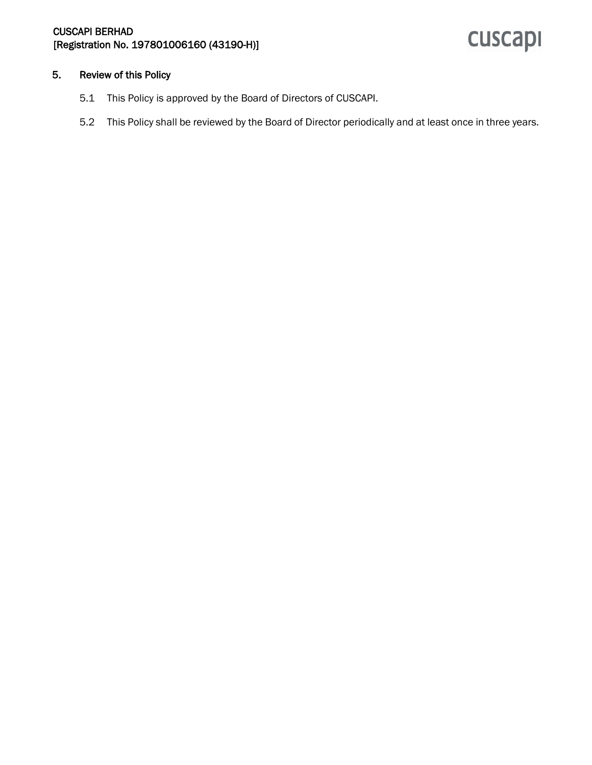## cuscapi

#### 5. Review of this Policy

- 5.1 This Policy is approved by the Board of Directors of CUSCAPI.
- 5.2 This Policy shall be reviewed by the Board of Director periodically and at least once in three years.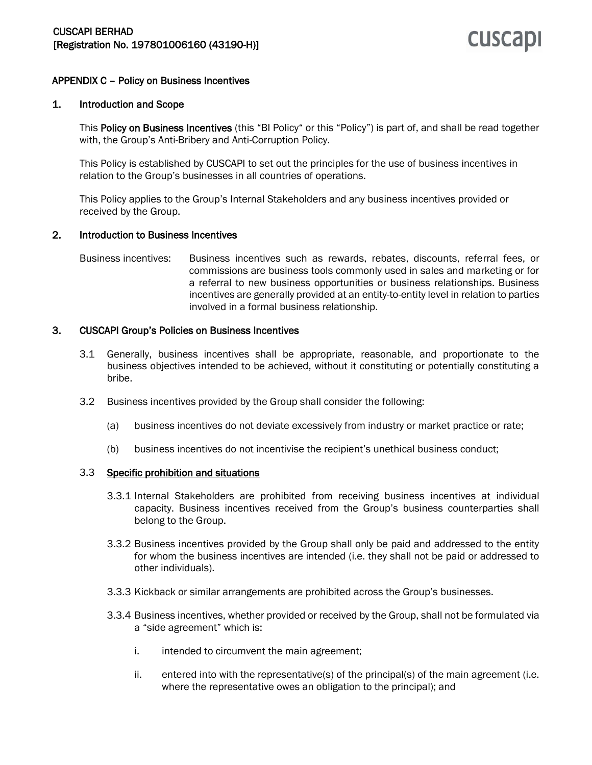#### APPENDIX C – Policy on Business Incentives

#### 1. Introduction and Scope

This Policy on Business Incentives (this "BI Policy" or this "Policy") is part of, and shall be read together with, the Group's Anti-Bribery and Anti-Corruption Policy.

This Policy is established by CUSCAPI to set out the principles for the use of business incentives in relation to the Group's businesses in all countries of operations.

This Policy applies to the Group's Internal Stakeholders and any business incentives provided or received by the Group.

#### 2. Introduction to Business Incentives

Business incentives: Business incentives such as rewards, rebates, discounts, referral fees, or commissions are business tools commonly used in sales and marketing or for a referral to new business opportunities or business relationships. Business incentives are generally provided at an entity-to-entity level in relation to parties involved in a formal business relationship.

#### 3. CUSCAPI Group's Policies on Business Incentives

- 3.1 Generally, business incentives shall be appropriate, reasonable, and proportionate to the business objectives intended to be achieved, without it constituting or potentially constituting a bribe.
- 3.2 Business incentives provided by the Group shall consider the following:
	- (a) business incentives do not deviate excessively from industry or market practice or rate;
	- (b) business incentives do not incentivise the recipient's unethical business conduct;

#### 3.3 Specific prohibition and situations

- 3.3.1 Internal Stakeholders are prohibited from receiving business incentives at individual capacity. Business incentives received from the Group's business counterparties shall belong to the Group.
- 3.3.2 Business incentives provided by the Group shall only be paid and addressed to the entity for whom the business incentives are intended (i.e. they shall not be paid or addressed to other individuals).
- 3.3.3 Kickback or similar arrangements are prohibited across the Group's businesses.
- 3.3.4 Business incentives, whether provided or received by the Group, shall not be formulated via a "side agreement" which is:
	- i. intended to circumvent the main agreement;
	- ii. entered into with the representative(s) of the principal(s) of the main agreement (i.e. where the representative owes an obligation to the principal); and